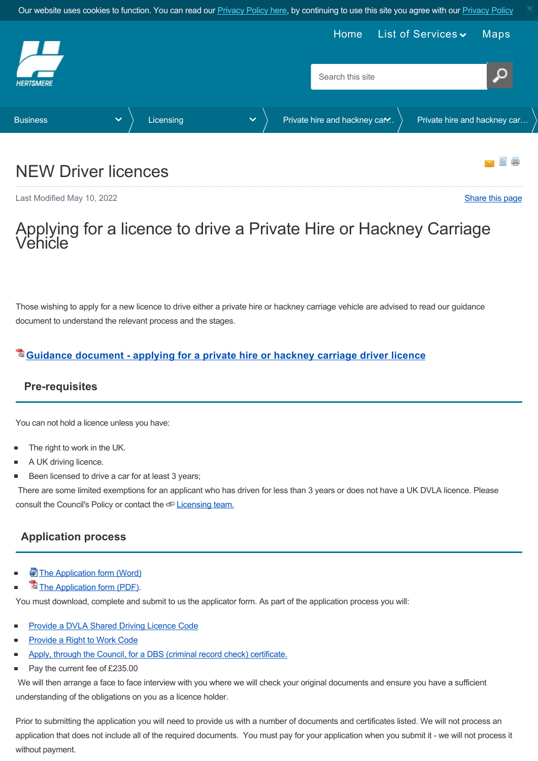<span id="page-0-0"></span>

# NEW Driver licences

Last Modified May 10, 2022 [Share this page](http://www.addthis.com/bookmark.php?v=250&pubid=xa-502e5fd570edcb1e) of the state of the state of the state of the state of the state of the state of the state of the state of the state of the state of the state of the state of the state of the sta

# pplying for a licence to drive a Private Hire or Hackney Carriage<br>ehicle

Those wishing to apply for a new licence to drive either a private hire or hackney carriage vehicle are advised to read our guidance document to understand the relevant process and the stages.

# **[Guidance document - applying for a private hire or hackney carriage driver licence](https://www.hertsmere.gov.uk/Documents/02-Business/Licensing/Private-hire--Hackney-Carriage-Licensing/2022-guidelines-for-new-applicants.pdf)**

# **Pre-requisites**

You can not hold a licence unless you have:

- The right to work in the UK.
- A UK driving licence.
- Been licensed to drive a car for at least 3 years;  $\blacksquare$

 There are some limited exemptions for an applicant who has driven for less than 3 years or does not have a UK DVLA licence. Please consult the Council's Policy or contact the  $\subseteq$  [Licensing team.](mailto:licensing.taxis@hertsmere.gov.uk)

# **Application process**

- [The Application form \(Word\)](https://www.hertsmere.gov.uk/Documents/02-Business/Licensing/Private-hire--Hackney-Carriage-Licensing/New-Renew-Driver-Application-2022.docx)
- [The Application form \(PDF\).](https://www.hertsmere.gov.uk/Documents/02-Business/Licensing/Private-hire--Hackney-Carriage-Licensing/New-Renew-Driver-Application-2022-PDF-967-Kb.pdf)

You must download, complete and submit to us the applicator form. As part of the application process you will:

- [Provide a DVLA Shared Driving Licence Code](#page-2-0)
- [Provide a Right to Work Code](#page-2-1)
- [Apply, through the Council, for a DBS \(criminal record check\) certificate.](#page-2-2)
- $\blacksquare$ Pay the current fee of £235.00

 We will then arrange a face to face interview with you where we will check your original documents and ensure you have a sufficient understanding of the obligations on you as a licence holder.

Prior to submitting the application you will need to provide us with a number of documents and certificates listed. We will not process an application that does not include all of the required documents. You must pay for your application when you submit it - we will not process it without payment.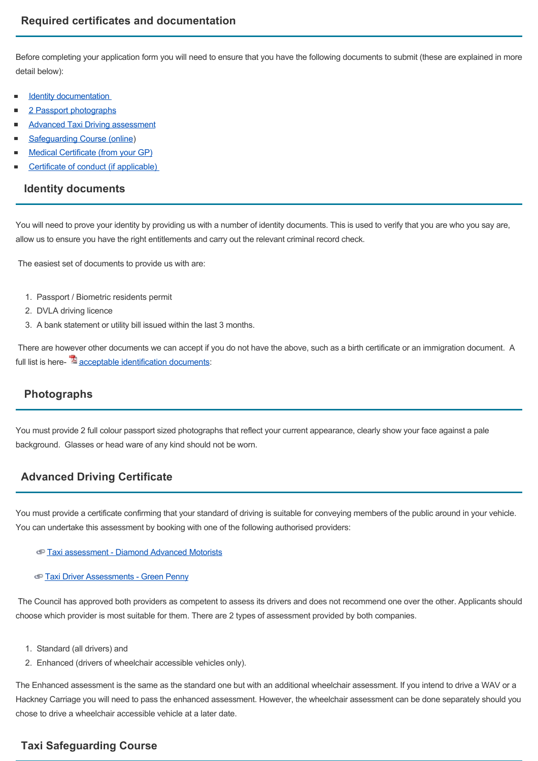Before completing your application form you will need to ensure that you have the following documents to submit (these are explained in more detail below):

- [Identity documentation](#page-1-0)
- [2 Passport photographs](#page-1-1)
- [Advanced Taxi Driving assessment](#page-1-2)
- [Safeguarding Course \(online](#page-1-3)) ٠
- [Medical Certificate \(from your GP\)](#page-2-3)
- <span id="page-1-0"></span>[Certificate of conduct \(if applicable\)](#page-2-4)

#### **Identity documents**

You will need to prove your identity by providing us with a number of identity documents. This is used to verify that you are who you say are, allow us to ensure you have the right entitlements and carry out the relevant criminal record check.

The easiest set of documents to provide us with are:

- 1. Passport / Biometric residents permit
- 2. DVLA driving licence
- 3. A bank statement or utility bill issued within the last 3 months.

 There are however other documents we can accept if you do not have the above, such as a birth certificate or an immigration document. A full list is here- $\mathbb{Z}$  [acceptable identification documents:](https://www.hertsmere.gov.uk/Documents/02-Business/Licensing/Private-hire--Hackney-Carriage-Licensing/Appendix-L-ID-docs.pdf)

# <span id="page-1-1"></span> **Photographs**

You must provide 2 full colour passport sized photographs that reflect your current appearance, clearly show your face against a pale background. Glasses or head ware of any kind should not be worn.

# <span id="page-1-2"></span>**Advanced Driving Certificate**

You must provide a certificate confirming that your standard of driving is suitable for conveying members of the public around in your vehicle. You can undertake this assessment by booking with one of the following authorised providers:

[Taxi assessment - Diamond Advanced Motorists](https://advancedmotoring.co.uk/taxi-tests/)

#### [Taxi Driver Assessments - Green Penny](https://www.greenpenny.co.uk/taxi-assessment-booking-form/)

 The Council has approved both providers as competent to assess its drivers and does not recommend one over the other. Applicants should choose which provider is most suitable for them. There are 2 types of assessment provided by both companies.

- 1. Standard (all drivers) and
- 2. Enhanced (drivers of wheelchair accessible vehicles only).

The Enhanced assessment is the same as the standard one but with an additional wheelchair assessment. If you intend to drive a WAV or a Hackney Carriage you will need to pass the enhanced assessment. However, the wheelchair assessment can be done separately should you chose to drive a wheelchair accessible vehicle at a later date.

# <span id="page-1-3"></span>**Taxi Safeguarding Course**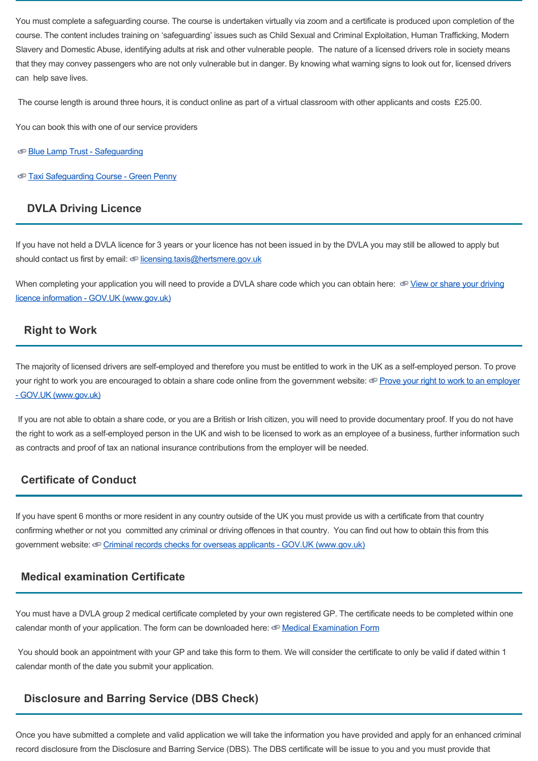You must complete a safeguarding course. The course is undertaken virtually via zoom and a certificate is produced upon completion of the course. The content includes training on 'safeguarding' issues such as Child Sexual and Criminal Exploitation, Human Trafficking, Modern Slavery and Domestic Abuse, identifying adults at risk and other vulnerable people. The nature of a licensed drivers role in society means that they may convey passengers who are not only vulnerable but in danger. By knowing what warning signs to look out for, licensed drivers can help save lives.

The course length is around three hours, it is conduct online as part of a virtual classroom with other applicants and costs £25.00.

You can book this with one of our service providers

[Blue Lamp Trust - Safeguarding](https://www.bluelamptrust.org.uk/safeguarding-classroom/)

[Taxi Safeguarding Course - Green Penny](https://www.greenpenny.co.uk/taxi-driver-safeguarding/)

# <span id="page-2-0"></span> **DVLA Driving Licence**

If you have not held a DVLA licence for 3 years or your licence has not been issued in by the DVLA you may still be allowed to apply but should contact us first by email: [licensing.taxis@hertsmere.gov.uk](mailto:licensing.taxis@hertsmere.gov.uk)

[When completing your application you will need to provide a DVLA share code which you can obtain here: View or share your driving](https://www.gov.uk/view-driving-licence) licence information - GOV.UK (www.gov.uk)

# <span id="page-2-1"></span> **Right to Work**

The majority of licensed drivers are self-employed and therefore you must be entitled to work in the UK as a self-employed person. To prove [your right to work you are encouraged to obtain a share code online from the government website: Prove your right to work to an employer](https://www.gov.uk/prove-right-to-work) - GOV.UK (www.gov.uk)

 If you are not able to obtain a share code, or you are a British or Irish citizen, you will need to provide documentary proof. If you do not have the right to work as a self-employed person in the UK and wish to be licensed to work as an employee of a business, further information such as contracts and proof of tax an national insurance contributions from the employer will be needed.

# <span id="page-2-4"></span>**Certificate of Conduct**

If you have spent 6 months or more resident in any country outside of the UK you must provide us with a certificate from that country confirming whether or not you committed any criminal or driving offences in that country. You can find out how to obtain this from this government website: Criminal records checks for overseas applicants - GOV.UK (www.gov.uk)

# <span id="page-2-3"></span>**Medical examination Certificate**

You must have a DVLA group 2 medical certificate completed by your own registered GP. The certificate needs to be completed within one calendar month of your application. The form can be downloaded here:  $\Phi$  [Medical Examination Form](https://www.hertsmere.gov.uk/Documents/02-Business/Licensing/Private-hire--Hackney-Carriage-Licensing/Medical-Examination-Form-for-Medical-Advisor.pdf)

 You should book an appointment with your GP and take this form to them. We will consider the certificate to only be valid if dated within 1 calendar month of the date you submit your application.

# <span id="page-2-2"></span> **Disclosure and Barring Service (DBS Check)**

Once you have submitted a complete and valid application we will take the information you have provided and apply for an enhanced criminal record disclosure from the Disclosure and Barring Service (DBS). The DBS certificate will be issue to you and you must provide that